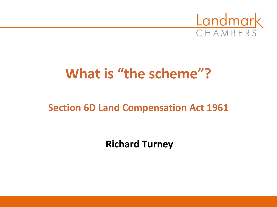

# **What is "the scheme"?**

# **Section 6D Land Compensation Act 1961**

**Richard Turney**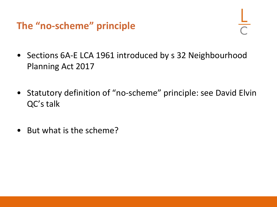**The "no-scheme" principle**

- Sections 6A-E LCA 1961 introduced by s 32 Neighbourhood Planning Act 2017
- Statutory definition of "no-scheme" principle: see David Elvin QC's talk
- But what is the scheme?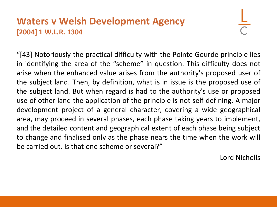#### **Waters v Welsh Development Agency [2004] 1 W.L.R. 1304**

"[43] Notoriously the practical difficulty with the Pointe Gourde principle lies in identifying the area of the "scheme" in question. This difficulty does not arise when the enhanced value arises from the authority's proposed user of the subject land. Then, by definition, what is in issue is the proposed use of the subject land. But when regard is had to the authority's use or proposed use of other land the application of the principle is not self-defining. A major development project of a general character, covering a wide geographical area, may proceed in several phases, each phase taking years to implement, and the detailed content and geographical extent of each phase being subject to change and finalised only as the phase nears the time when the work will be carried out. Is that one scheme or several?"

Lord Nicholls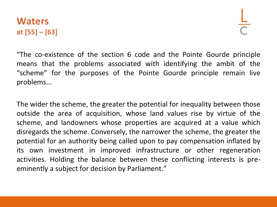#### **Waters at [55] – [63]**

"The co-existence of the section 6 code and the Pointe Gourde principle means that the problems associated with identifying the ambit of the "scheme" for the purposes of the Pointe Gourde principle remain live problems...

The wider the scheme, the greater the potential for inequality between those outside the area of acquisition, whose land values rise by virtue of the scheme, and landowners whose properties are acquired at a value which disregards the scheme. Conversely, the narrower the scheme, the greater the potential for an authority being called upon to pay compensation inflated by its own investment in improved infrastructure or other regeneration activities. Holding the balance between these conflicting interests is preeminently a subject for decision by Parliament."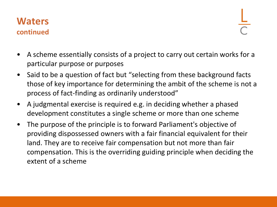#### **Waters continued**

- A scheme essentially consists of a project to carry out certain works for a particular purpose or purposes
- Said to be a question of fact but "selecting from these background facts those of key importance for determining the ambit of the scheme is not a process of fact-finding as ordinarily understood"
- A judgmental exercise is required e.g. in deciding whether a phased development constitutes a single scheme or more than one scheme
- The purpose of the principle is to forward Parliament's objective of providing dispossessed owners with a fair financial equivalent for their land. They are to receive fair compensation but not more than fair compensation. This is the overriding guiding principle when deciding the extent of a scheme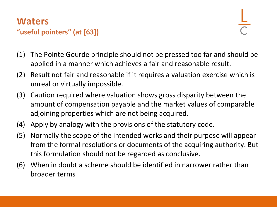#### **Waters "useful pointers" (at [63])**

- (1) The Pointe Gourde principle should not be pressed too far and should be applied in a manner which achieves a fair and reasonable result.
- (2) Result not fair and reasonable if it requires a valuation exercise which is unreal or virtually impossible.
- (3) Caution required where valuation shows gross disparity between the amount of compensation payable and the market values of comparable adjoining properties which are not being acquired.
- (4) Apply by analogy with the provisions of the statutory code.
- (5) Normally the scope of the intended works and their purpose will appear from the formal resolutions or documents of the acquiring authority. But this formulation should not be regarded as conclusive.
- (6) When in doubt a scheme should be identified in narrower rather than broader terms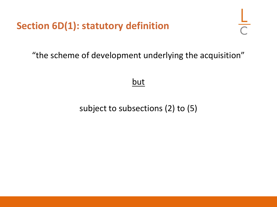**Section 6D(1): statutory definition**

"the scheme of development underlying the acquisition"

#### but

### subject to subsections (2) to (5)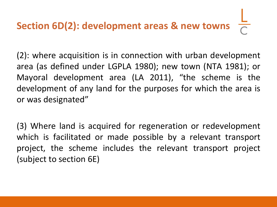# **Section 6D(2): development areas & new towns**

(2): where acquisition is in connection with urban development area (as defined under LGPLA 1980); new town (NTA 1981); or Mayoral development area (LA 2011), "the scheme is the development of any land for the purposes for which the area is or was designated"

(3) Where land is acquired for regeneration or redevelopment which is facilitated or made possible by a relevant transport project, the scheme includes the relevant transport project (subject to section 6E)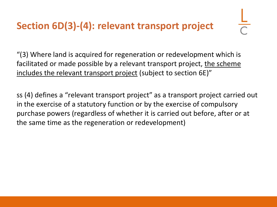# **Section 6D(3)-(4): relevant transport project**

"(3) Where land is acquired for regeneration or redevelopment which is facilitated or made possible by a relevant transport project, the scheme includes the relevant transport project (subject to section 6E)"

ss (4) defines a "relevant transport project" as a transport project carried out in the exercise of a statutory function or by the exercise of compulsory purchase powers (regardless of whether it is carried out before, after or at the same time as the regeneration or redevelopment)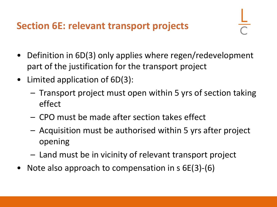## **Section 6E: relevant transport projects**

- Definition in 6D(3) only applies where regen/redevelopment part of the justification for the transport project
- Limited application of 6D(3):
	- Transport project must open within 5 yrs of section taking effect
	- CPO must be made after section takes effect
	- Acquisition must be authorised within 5 yrs after project opening
	- Land must be in vicinity of relevant transport project
- Note also approach to compensation in s 6E(3)-(6)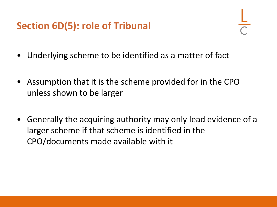# **Section 6D(5): role of Tribunal**

- Underlying scheme to be identified as a matter of fact
- Assumption that it is the scheme provided for in the CPO unless shown to be larger
- Generally the acquiring authority may only lead evidence of a larger scheme if that scheme is identified in the CPO/documents made available with it